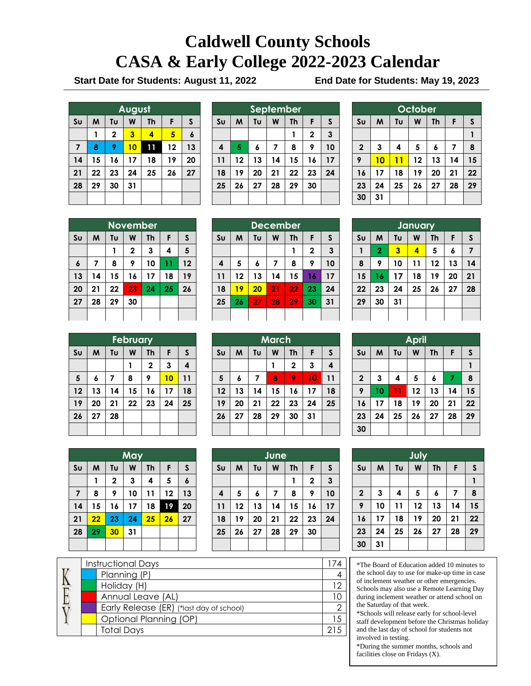# **Caldwell County Schools CASA & Early College 2022-2023 Calendar**

**Start Date for Students: August 11, 2022 End Date for Students: May 19, 2023**

|                | August |    |    |           |    |    |  |
|----------------|--------|----|----|-----------|----|----|--|
| S <sub>U</sub> | M      | Tυ | W  | <b>Th</b> | F  | S  |  |
|                |        | 2  | 3  | 4         | 5  | 6  |  |
| $\overline{7}$ | 8      | 9  | 10 | 11        | 12 | 13 |  |
| 14             | 15     | 16 | 17 | 18        | 19 | 20 |  |
| 21             | 22     | 23 | 24 | 25        | 26 | 27 |  |
| 28             | 29     | 30 | 31 |           |    |    |  |
|                |        |    |    |           |    |    |  |

| September      |    |    |    |           |              |    |
|----------------|----|----|----|-----------|--------------|----|
| S <sub>U</sub> | M  | Tυ | W  | <b>Th</b> | F            | S  |
|                |    |    |    |           | $\mathbf{2}$ | 3  |
| 4              | 5  | 6  | 7  | 8         | 9            | 10 |
| 11             | 12 | 13 | 14 | 15        | 16           | 17 |
| 18             | 19 | 20 | 21 | 22        | 23           | 24 |
| 25             | 26 | 27 | 28 | 29        | 30           |    |
|                |    |    |    |           |              |    |

| October                 |    |    |    |    |    |              |  |
|-------------------------|----|----|----|----|----|--------------|--|
| S <sub>U</sub>          | M  | Tu | W  | Th | F  | $\mathsf{s}$ |  |
|                         |    |    |    |    |    |              |  |
| $\overline{\mathbf{2}}$ | 3  | 4  | 5  | 6  | 7  | 8            |  |
| 9                       | 10 | 11 | 12 | 13 | 14 | 15           |  |
| 16                      | 17 | 18 | 19 | 20 | 21 | 22           |  |
| 23                      | 24 | 25 | 26 | 27 | 28 | 29           |  |
| 30                      | 31 |    |    |    |    |              |  |

| <b>November</b>  |    |    |              |           |    |    |
|------------------|----|----|--------------|-----------|----|----|
| S <sub>U</sub>   | M  | Tυ | W            | <b>Th</b> | F  | S  |
|                  |    |    | $\mathbf{2}$ | 3         | 4  | 5  |
| $\boldsymbol{6}$ | 7  | 8  | 9            | 10        | 11 | 12 |
| 13               | 14 | 15 | 16           | 17        | 18 | 19 |
| 20               | 21 | 22 | 23           | 24        | 25 | 26 |
| 27               | 28 | 29 | 30           |           |    |    |
|                  |    |    |              |           |    |    |

|                | <b>December</b> |    |    |           |              |    |  |  |
|----------------|-----------------|----|----|-----------|--------------|----|--|--|
| S <sub>U</sub> | M               | Tu | W  | <b>Th</b> | F            | S  |  |  |
|                |                 |    |    |           | $\mathbf{2}$ | 3  |  |  |
| 4              | 5               | 6  | 7  | 8         | 9            | 10 |  |  |
| 11             | 12              | 13 | 14 | 15        | 16           | 17 |  |  |
| 18             | 19              | 20 | 21 | 22        | 23           | 24 |  |  |
| 25             | 26              | 27 | 28 | 29        | 30           | 31 |  |  |
|                |                 |    |    |           |              |    |  |  |

| January        |                |    |    |           |    |    |  |  |  |
|----------------|----------------|----|----|-----------|----|----|--|--|--|
| S <sub>U</sub> | M              | Tu | W  | <b>Th</b> | F  | S  |  |  |  |
| 1              | $\overline{2}$ | 3  | 4  | 5         | 6  | 7  |  |  |  |
| 8              | 9              | 10 | 11 | 12        | 13 | 14 |  |  |  |
| 15             | 16             | 17 | 18 | 19        | 20 | 21 |  |  |  |
| 22             | 23             | 24 | 25 | 26        | 27 | 28 |  |  |  |
| 29             | 30             | 31 |    |           |    |    |  |  |  |
|                |                |    |    |           |    |    |  |  |  |

| February               |    |                |    |              |    |    |
|------------------------|----|----------------|----|--------------|----|----|
| $\mathsf{S}\mathsf{u}$ | M  | Tυ             | W  | <b>Th</b>    | F  | S  |
|                        |    |                |    | $\mathbf{2}$ | 3  | 4  |
| 5                      | 6  | $\overline{7}$ | 8  | 9            | 10 | 11 |
| 12                     | 13 | 14             | 15 | 16           | 17 | 18 |
| 19                     | 20 | 21             | 22 | 23           | 24 | 25 |
| 26                     | 27 | 28             |    |              |    |    |
|                        |    |                |    |              |    |    |

|                | March |    |    |           |    |    |  |  |
|----------------|-------|----|----|-----------|----|----|--|--|
| S <sub>U</sub> | M     | Tυ | W  | <b>Th</b> | F  | S  |  |  |
|                |       |    |    | 2         | 3  | 4  |  |  |
| 5              | 6     | 7  | 8  | 9         | 10 | 11 |  |  |
| 12             | 13    | 14 | 15 | 16        | 17 | 18 |  |  |
| 19             | 20    | 21 | 22 | 23        | 24 | 25 |  |  |
| 26             | 27    | 28 | 29 | 30        | 31 |    |  |  |
|                |       |    |    |           |    |    |  |  |

| <b>April</b>   |    |    |    |           |    |              |  |  |
|----------------|----|----|----|-----------|----|--------------|--|--|
| S <sub>U</sub> | M  | Tυ | W  | <b>Th</b> | F  | $\mathsf{s}$ |  |  |
|                |    |    |    |           |    |              |  |  |
| $\mathbf{2}$   | 3  | 4  | 5  | 6         | 7  | 8            |  |  |
| 9              | 10 | 11 | 12 | 13        | 14 | 15           |  |  |
| 16             | 17 | 18 | 19 | 20        | 21 | 22           |  |  |
| 23             | 24 | 25 | 26 | 27        | 28 | 29           |  |  |
| 30             |    |    |    |           |    |              |  |  |

|                | May |             |    |           |    |    |  |
|----------------|-----|-------------|----|-----------|----|----|--|
| S <sub>U</sub> | M   | Tυ          | W  | <b>Th</b> | F  | S  |  |
|                |     | $\mathbf 2$ | 3  | 4         | 5  | 6  |  |
| $\overline{7}$ | 8   | 9           | 10 | 11        | 12 | 13 |  |
| 14             | 15  | 16          | 17 | 18        | 19 | 20 |  |
| 21             | 22  | 23          | 24 | 25        | 26 | 27 |  |
| 28             | 29  | 30          | 31 |           |    |    |  |
|                |     |             |    |           |    |    |  |

|                         | June |    |    |           |             |              |  |  |
|-------------------------|------|----|----|-----------|-------------|--------------|--|--|
| S <sub>U</sub>          | M    | Tυ | W  | <b>Th</b> | F           | $\mathsf{s}$ |  |  |
|                         |      |    |    |           | $\mathbf 2$ | $\mathbf{3}$ |  |  |
| $\overline{\mathbf{4}}$ | 5    | 6  | 7  | 8         | 9           | 10           |  |  |
| 11                      | 12   | 13 | 14 | 15        | 16          | 17           |  |  |
| 18                      | 19   | 20 | 21 | 22        | 23          | 24           |  |  |
| 25                      | 26   | 27 | 28 | 29        | 30          |              |  |  |
|                         |      |    |    |           |             |              |  |  |

|                | July |    |    |           |    |    |  |  |
|----------------|------|----|----|-----------|----|----|--|--|
| S <sub>U</sub> | M    | Tu | W  | <b>Th</b> | F  | S  |  |  |
|                |      |    |    |           |    |    |  |  |
| $\mathbf{2}$   | 3    | 4  | 5  | 6         | 7  | 8  |  |  |
| 9              | 10   | 11 | 12 | 13        | 14 | 15 |  |  |
| 16             | 17   | 18 | 19 | 20        | 21 | 22 |  |  |
| 23             | 24   | 25 | 26 | 27        | 28 | 29 |  |  |
| 30             | 31   |    |    |           |    |    |  |  |

\*The Board of Education added 10 minutes to the school day to use for make-up time in case of inclement weather or other emergencies. Schools may also use a Remote Learning Day during inclement weather or attend school on the Saturday of that week.

\*Schools will release early for school-level staff development before the Christmas holiday and the last day of school for students not involved in testing.

\*During the summer months, schools and facilities close on Fridays (X).

|  | <b>Instructional Days</b> |                                          | 74            |
|--|---------------------------|------------------------------------------|---------------|
|  |                           | Planning (P)                             | 4             |
|  |                           | Holiday (H)                              | 12            |
|  |                           | Annual Leave (AL)                        | 10            |
|  |                           | Early Release (ER) (*last day of school) | $\mathcal{D}$ |
|  |                           | Optional Planning (OP)                   | 15            |
|  |                           | <b>Total Days</b>                        | 21.5          |
|  |                           |                                          |               |